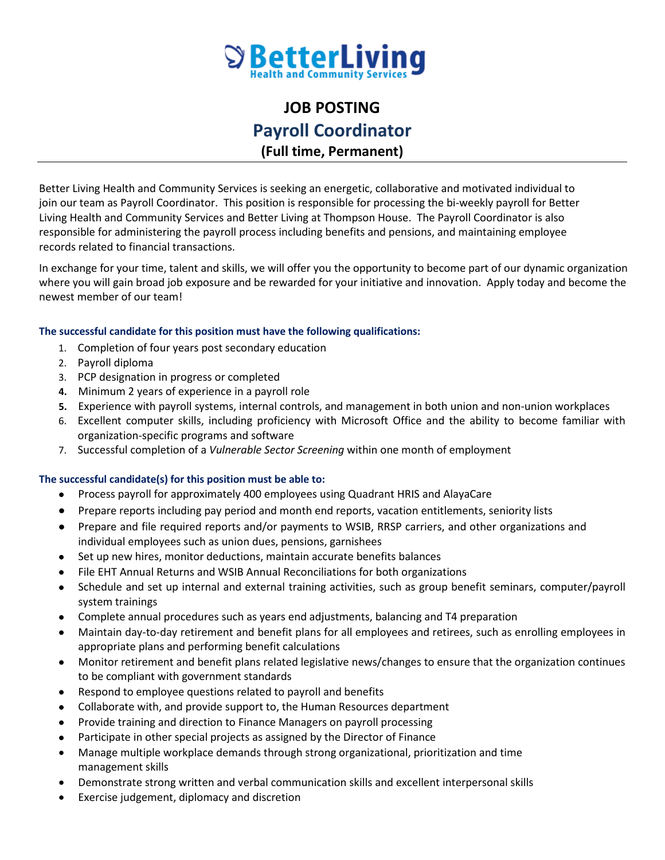

## **JOB POSTING Payroll Coordinator (Full time, Permanent)**

Better Living Health and Community Services is seeking an energetic, collaborative and motivated individual to join our team as Payroll Coordinator. This position is responsible for processing the bi-weekly payroll for Better Living Health and Community Services and Better Living at Thompson House. The Payroll Coordinator is also responsible for administering the payroll process including benefits and pensions, and maintaining employee records related to financial transactions.

In exchange for your time, talent and skills, we will offer you the opportunity to become part of our dynamic organization where you will gain broad job exposure and be rewarded for your initiative and innovation. Apply today and become the newest member of our team!

## **The successful candidate for this position must have the following qualifications:**

- 1. Completion of four years post secondary education
- 2. Payroll diploma
- 3. PCP designation in progress or completed
- **4.** Minimum 2 years of experience in a payroll role
- **5.** Experience with payroll systems, internal controls, and management in both union and non-union workplaces
- 6. Excellent computer skills, including proficiency with Microsoft Office and the ability to become familiar with organization-specific programs and software
- 7. Successful completion of a *Vulnerable Sector Screening* within one month of employment

## **The successful candidate(s) for this position must be able to:**

- Process payroll for approximately 400 employees using Quadrant HRIS and AlayaCare
- Prepare reports including pay period and month end reports, vacation entitlements, seniority lists
- Prepare and file required reports and/or payments to WSIB, RRSP carriers, and other organizations and individual employees such as union dues, pensions, garnishees
- Set up new hires, monitor deductions, maintain accurate benefits balances
- File EHT Annual Returns and WSIB Annual Reconciliations for both organizations
- Schedule and set up internal and external training activities, such as group benefit seminars, computer/payroll system trainings
- Complete annual procedures such as years end adjustments, balancing and T4 preparation
- Maintain day-to-day retirement and benefit plans for all employees and retirees, such as enrolling employees in appropriate plans and performing benefit calculations
- Monitor retirement and benefit plans related legislative news/changes to ensure that the organization continues to be compliant with government standards
- Respond to employee questions related to payroll and benefits
- Collaborate with, and provide support to, the Human Resources department
- Provide training and direction to Finance Managers on payroll processing
- Participate in other special projects as assigned by the Director of Finance
- Manage multiple workplace demands through strong organizational, prioritization and time management skills
- Demonstrate strong written and verbal communication skills and excellent interpersonal skills
- Exercise judgement, diplomacy and discretion